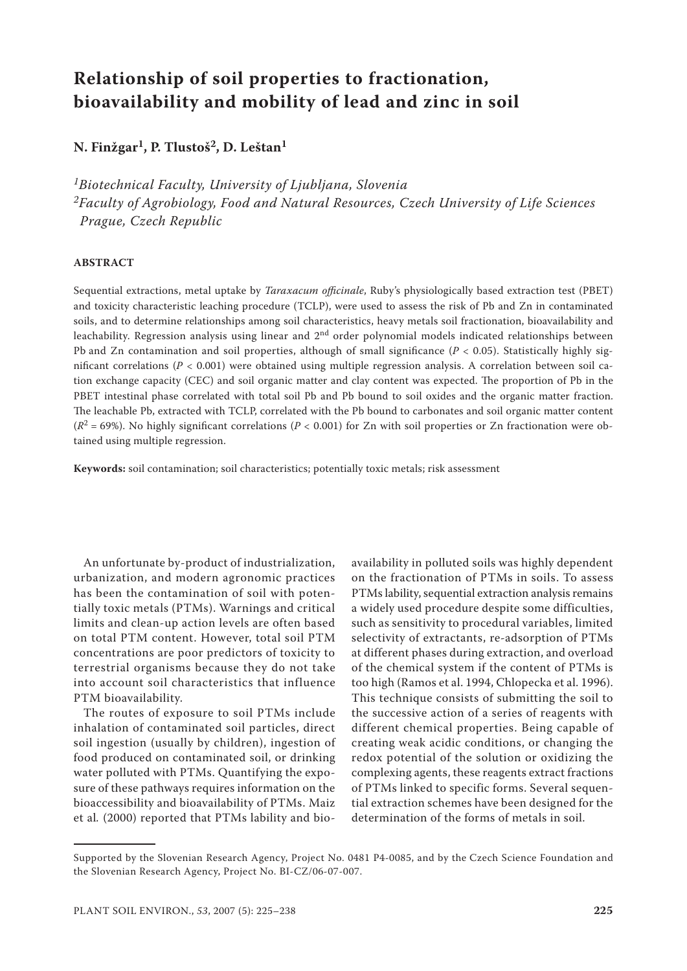# **Relationship of soil properties to fractionation, bioavailability and mobility of lead and zinc in soil**

**N. Finžgar1, P. Tlustoš2, D. Leštan1**

*1Biotechnical Faculty, University of Ljubljana, Slovenia 2Faculty of Agrobiology, Food and Natural Resources, Czech University of Life Sciences Prague, Czech Republic*

#### **ABSTRACT**

Sequential extractions, metal uptake by *Taraxacum officinale*, Ruby's physiologically based extraction test (PBET) and toxicity characteristic leaching procedure (TCLP), were used to assess the risk of Pb and Zn in contaminated soils, and to determine relationships among soil characteristics, heavy metals soil fractionation, bioavailability and leachability. Regression analysis using linear and 2<sup>nd</sup> order polynomial models indicated relationships between Pb and Zn contamination and soil properties, although of small significance (*P* < 0.05). Statistically highly significant correlations  $(P < 0.001)$  were obtained using multiple regression analysis. A correlation between soil cation exchange capacity (CEC) and soil organic matter and clay content was expected. The proportion of Pb in the PBET intestinal phase correlated with total soil Pb and Pb bound to soil oxides and the organic matter fraction. The leachable Pb, extracted with TCLP, correlated with the Pb bound to carbonates and soil organic matter content  $(R^2 = 69\%)$ . No highly significant correlations ( $P < 0.001$ ) for Zn with soil properties or Zn fractionation were obtained using multiple regression.

**Keywords:** soil contamination; soil characteristics; potentially toxic metals; risk assessment

An unfortunate by-product of industrialization, urbanization, and modern agronomic practices has been the contamination of soil with potentially toxic metals (PTMs). Warnings and critical limits and clean-up action levels are often based on total PTM content. However, total soil PTM concentrations are poor predictors of toxicity to terrestrial organisms because they do not take into account soil characteristics that influence PTM bioavailability.

The routes of exposure to soil PTMs include inhalation of contaminated soil particles, direct soil ingestion (usually by children), ingestion of food produced on contaminated soil, or drinking water polluted with PTMs. Quantifying the exposure of these pathways requires information on the bioaccessibility and bioavailability of PTMs. Maiz et al*.* (2000) reported that PTMs lability and bio-

availability in polluted soils was highly dependent on the fractionation of PTMs in soils. To assess PTMs lability, sequential extraction analysis remains a widely used procedure despite some difficulties, such as sensitivity to procedural variables, limited selectivity of extractants, re-adsorption of PTMs at different phases during extraction, and overload of the chemical system if the content of PTMs is too high (Ramos et al. 1994, Chlopecka et al. 1996). This technique consists of submitting the soil to the successive action of a series of reagents with different chemical properties. Being capable of creating weak acidic conditions, or changing the redox potential of the solution or oxidizing the complexing agents, these reagents extract fractions of PTMs linked to specific forms. Several sequential extraction schemes have been designed for the determination of the forms of metals in soil.

Supported by the Slovenian Research Agency, Project No. 0481 P4-0085, and by the Czech Science Foundation and the Slovenian Research Agency, Project No. BI-CZ/06-07-007.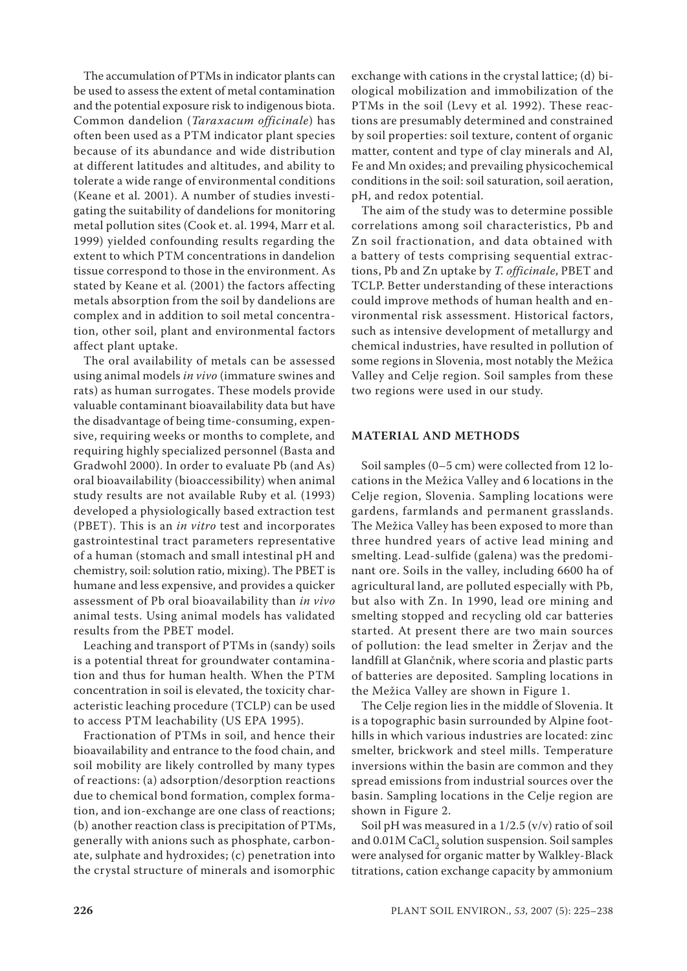The accumulation of PTMs in indicator plants can be used to assess the extent of metal contamination and the potential exposure risk to indigenous biota. Common dandelion (*Taraxacum officinale*) has often been used as a PTM indicator plant species because of its abundance and wide distribution at different latitudes and altitudes, and ability to tolerate a wide range of environmental conditions (Keane et al*.* 2001). A number of studies investigating the suitability of dandelions for monitoring metal pollution sites (Cook et. al. 1994, Marr et al*.* 1999) yielded confounding results regarding the extent to which PTM concentrations in dandelion tissue correspond to those in the environment. As stated by Keane et al*.* (2001) the factors affecting metals absorption from the soil by dandelions are complex and in addition to soil metal concentration, other soil, plant and environmental factors affect plant uptake.

The oral availability of metals can be assessed using animal models *in vivo* (immature swines and rats) as human surrogates. These models provide valuable contaminant bioavailability data but have the disadvantage of being time-consuming, expensive, requiring weeks or months to complete, and requiring highly specialized personnel (Basta and Gradwohl 2000). In order to evaluate Pb (and As) oral bioavailability (bioaccessibility) when animal study results are not available Ruby et al*.* (1993) developed a physiologically based extraction test (PBET). This is an *in vitro* test and incorporates gastrointestinal tract parameters representative of a human (stomach and small intestinal pH and chemistry, soil: solution ratio, mixing). The PBET is humane and less expensive, and provides a quicker assessment of Pb oral bioavailability than *in vivo* animal tests. Using animal models has validated results from the PBET model.

Leaching and transport of PTMs in (sandy) soils is a potential threat for groundwater contamination and thus for human health. When the PTM concentration in soil is elevated, the toxicity characteristic leaching procedure (TCLP) can be used to access PTM leachability (US EPA 1995).

Fractionation of PTMs in soil, and hence their bioavailability and entrance to the food chain, and soil mobility are likely controlled by many types of reactions: (a) adsorption/desorption reactions due to chemical bond formation, complex formation, and ion-exchange are one class of reactions; (b) another reaction class is precipitation of PTMs, generally with anions such as phosphate, carbonate, sulphate and hydroxides; (c) penetration into the crystal structure of minerals and isomorphic exchange with cations in the crystal lattice; (d) biological mobilization and immobilization of the PTMs in the soil (Levy et al*.* 1992). These reactions are presumably determined and constrained by soil properties: soil texture, content of organic matter, content and type of clay minerals and Al, Fe and Mn oxides; and prevailing physicochemical conditions in the soil: soil saturation, soil aeration, pH, and redox potential.

The aim of the study was to determine possible correlations among soil characteristics, Pb and Zn soil fractionation, and data obtained with a battery of tests comprising sequential extractions, Pb and Zn uptake by *T. officinale*, PBET and TCLP. Better understanding of these interactions could improve methods of human health and environmental risk assessment. Historical factors, such as intensive development of metallurgy and chemical industries, have resulted in pollution of some regions in Slovenia, most notably the Mežica Valley and Celje region. Soil samples from these two regions were used in our study.

#### **MATERIAL AND METHODS**

Soil samples (0–5 cm) were collected from 12 locations in the Mežica Valley and 6 locations in the Celje region, Slovenia. Sampling locations were gardens, farmlands and permanent grasslands. The Mežica Valley has been exposed to more than three hundred years of active lead mining and smelting. Lead-sulfide (galena) was the predominant ore. Soils in the valley, including 6600 ha of agricultural land, are polluted especially with Pb, but also with Zn. In 1990, lead ore mining and smelting stopped and recycling old car batteries started. At present there are two main sources of pollution: the lead smelter in Žerjav and the landfill at Glančnik, where scoria and plastic parts of batteries are deposited. Sampling locations in the Mežica Valley are shown in Figure 1.

The Celje region lies in the middle of Slovenia. It is a topographic basin surrounded by Alpine foothills in which various industries are located: zinc smelter, brickwork and steel mills. Temperature inversions within the basin are common and they spread emissions from industrial sources over the basin. Sampling locations in the Celje region are shown in Figure 2.

Soil pH was measured in a 1/2.5 (v/v) ratio of soil and 0.01M CaCl<sub>2</sub> solution suspension. Soil samples were analysed for organic matter by Walkley-Black titrations, cation exchange capacity by ammonium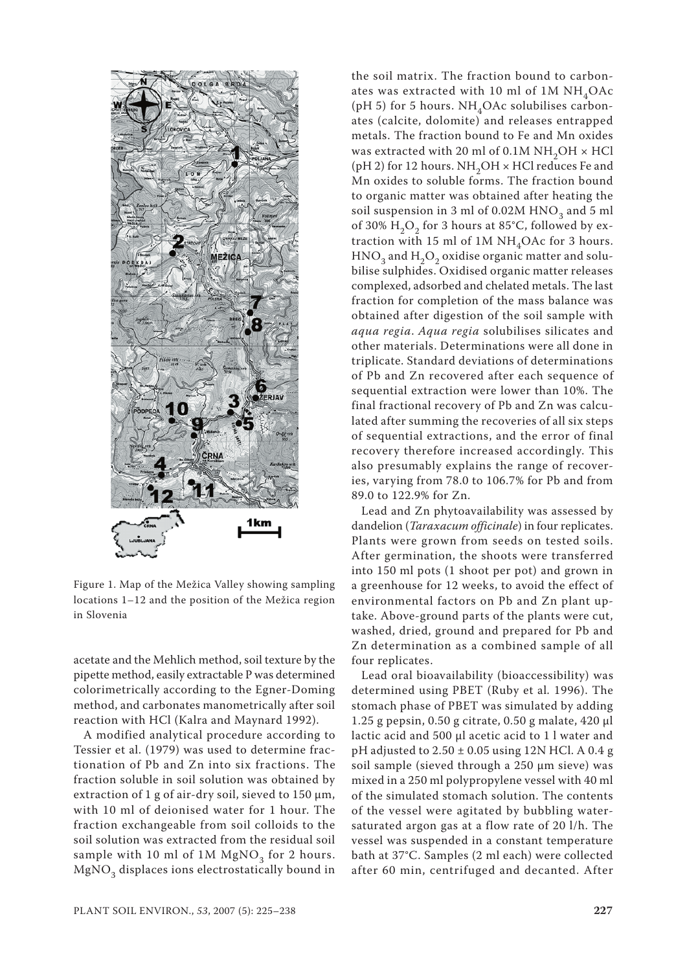

Figure 1. Map of the Mežica Valley showing sampling locations 1–12 and the position of the Mežica region in Slovenia

acetate and the Mehlich method, soil texture by the pipette method, easily extractable P was determined colorimetrically according to the Egner-Doming method, and carbonates manometrically after soil reaction with HCl (Kalra and Maynard 1992).

A modified analytical procedure according to Tessier et al. (1979) was used to determine fractionation of Pb and Zn into six fractions. The fraction soluble in soil solution was obtained by extraction of 1 g of air-dry soil, sieved to 150  $\mu$ m, with 10 ml of deionised water for 1 hour. The fraction exchangeable from soil colloids to the soil solution was extracted from the residual soil sample with 10 ml of 1M  $MgNO<sub>3</sub>$  for 2 hours.  $MgNO<sub>3</sub>$  displaces ions electrostatically bound in the soil matrix. The fraction bound to carbonates was extracted with 10 ml of 1M  $NH<sub>4</sub>OAc$ (pH 5) for 5 hours. NH<sub>4</sub>OAc solubilises carbonates (calcite, dolomite) and releases entrapped metals. The fraction bound to Fe and Mn oxides was extracted with 20 ml of 0.1M NH<sub>2</sub>OH  $\times$  HCl (pH 2) for 12 hours. NH<sub>2</sub>OH  $\times$  HCl reduces Fe and Mn oxides to soluble forms. The fraction bound to organic matter was obtained after heating the soil suspension in 3 ml of 0.02M  $HNO<sub>3</sub>$  and 5 ml of 30%  $H_2O_2$  for 3 hours at 85°C, followed by extraction with 15 ml of 1M NH<sub>4</sub>OAc for 3 hours.  $HNO<sub>3</sub>$  and  $H<sub>2</sub>O<sub>2</sub>$  oxidise organic matter and solubilise sulphides. Oxidised organic matter releases complexed, adsorbed and chelated metals. The last fraction for completion of the mass balance was obtained after digestion of the soil sample with *aqua regia*. *Aqua regia* solubilises silicates and other materials. Determinations were all done in triplicate. Standard deviations of determinations of Pb and Zn recovered after each sequence of sequential extraction were lower than 10%. The final fractional recovery of Pb and Zn was calculated after summing the recoveries of all six steps of sequential extractions, and the error of final recovery therefore increased accordingly. This also presumably explains the range of recoveries, varying from 78.0 to 106.7% for Pb and from 89.0 to 122.9% for Zn.

Lead and Zn phytoavailability was assessed by dandelion (*Taraxacum officinale*) in four replicates. Plants were grown from seeds on tested soils. After germination, the shoots were transferred into 150 ml pots (1 shoot per pot) and grown in a greenhouse for 12 weeks, to avoid the effect of environmental factors on Pb and Zn plant uptake. Above-ground parts of the plants were cut, washed, dried, ground and prepared for Pb and Zn determination as a combined sample of all four replicates.

Lead oral bioavailability (bioaccessibility) was determined using PBET (Ruby et al*.* 1996). The stomach phase of PBET was simulated by adding 1.25 g pepsin, 0.50 g citrate, 0.50 g malate, 420 µl lactic acid and 500 µl acetic acid to 1 l water and pH adjusted to  $2.50 \pm 0.05$  using 12N HCl. A 0.4 g soil sample (sieved through a 250 µm sieve) was mixed in a 250 ml polypropylene vessel with 40 ml of the simulated stomach solution. The contents of the vessel were agitated by bubbling watersaturated argon gas at a flow rate of 20 l/h. The vessel was suspended in a constant temperature bath at 37°C. Samples (2 ml each) were collected after 60 min, centrifuged and decanted. After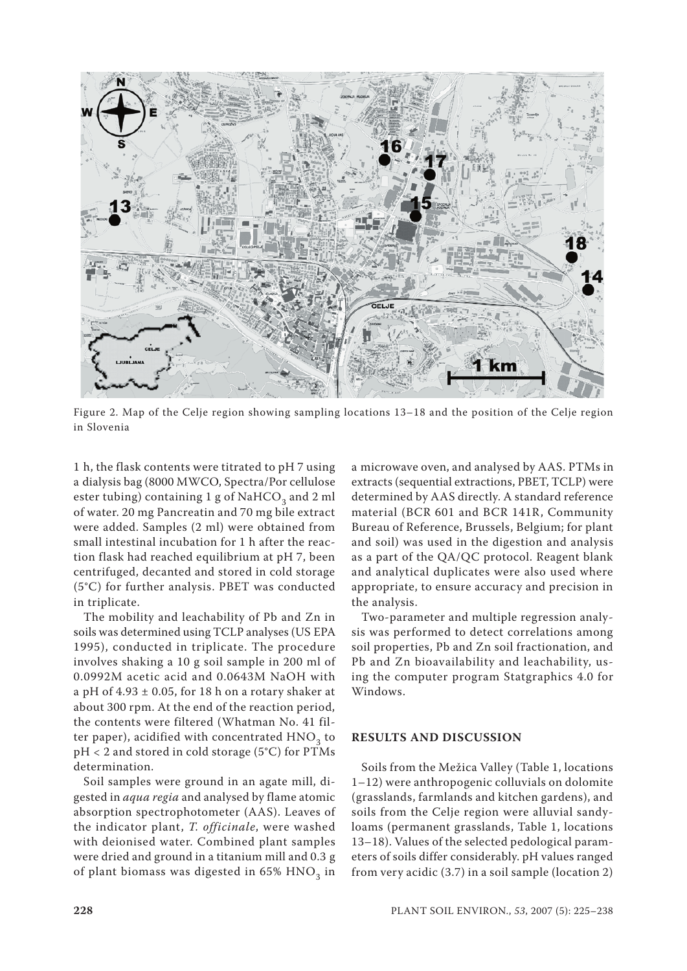

Figure 2. Map of the Celje region showing sampling locations 13–18 and the position of the Celje region in Slovenia

1 h, the flask contents were titrated to pH 7 using a dialysis bag (8000 MWCO, Spectra/Por cellulose ester tubing) containing 1 g of  $NaHCO<sub>3</sub>$  and 2 ml of water. 20 mg Pancreatin and 70 mg bile extract were added. Samples (2 ml) were obtained from small intestinal incubation for 1 h after the reaction flask had reached equilibrium at pH 7, been centrifuged, decanted and stored in cold storage (5°C) for further analysis. PBET was conducted in triplicate.

The mobility and leachability of Pb and Zn in soils was determined using TCLP analyses (US EPA 1995), conducted in triplicate. The procedure involves shaking a 10 g soil sample in 200 ml of 0.0992M acetic acid and 0.0643M NaOH with a pH of  $4.93 \pm 0.05$ , for 18 h on a rotary shaker at about 300 rpm. At the end of the reaction period, the contents were filtered (Whatman No. 41 filter paper), acidified with concentrated  $HNO<sub>3</sub>$  to pH < 2 and stored in cold storage (5°C) for PTMs determination.

Soil samples were ground in an agate mill, digested in *aqua regia* and analysed by flame atomic absorption spectrophotometer (AAS). Leaves of the indicator plant, *T. officinale*, were washed with deionised water. Combined plant samples were dried and ground in a titanium mill and 0.3 g of plant biomass was digested in  $65\%$  HNO<sub>3</sub> in a microwave oven, and analysed by AAS. PTMs in extracts (sequential extractions, PBET, TCLP) were determined by AAS directly. A standard reference material (BCR 601 and BCR 141R, Community Bureau of Reference, Brussels, Belgium; for plant and soil) was used in the digestion and analysis as a part of the QA/QC protocol. Reagent blank and analytical duplicates were also used where appropriate, to ensure accuracy and precision in the analysis.

Two-parameter and multiple regression analysis was performed to detect correlations among soil properties, Pb and Zn soil fractionation, and Pb and Zn bioavailability and leachability, using the computer program Statgraphics 4.0 for Windows.

#### **RESULTS AND DISCUSSION**

Soils from the Mežica Valley (Table 1, locations 1–12) were anthropogenic colluvials on dolomite (grasslands, farmlands and kitchen gardens), and soils from the Celje region were alluvial sandyloams (permanent grasslands, Table 1, locations 13–18). Values of the selected pedological parameters of soils differ considerably. pH values ranged from very acidic (3.7) in a soil sample (location 2)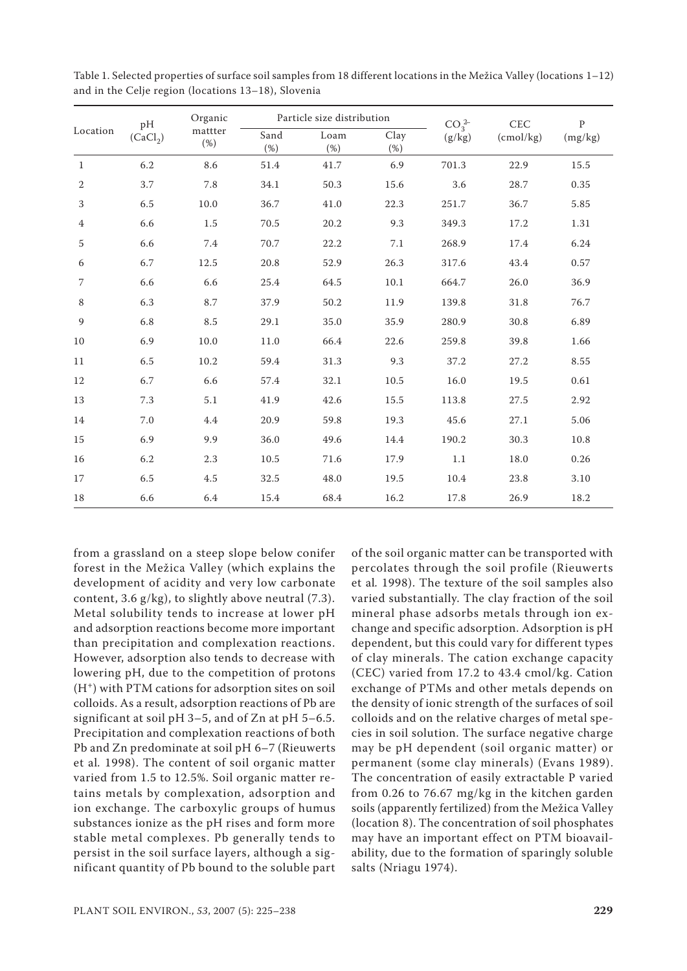| Location       | pH<br>(CaCl <sub>2</sub> ) | Organic<br>mattter<br>(%) | Particle size distribution |             |              | $CO_3^2$ | $\mbox{CEC}$ | ${\bf P}$ |
|----------------|----------------------------|---------------------------|----------------------------|-------------|--------------|----------|--------------|-----------|
|                |                            |                           | Sand<br>$(\%)$             | Loam<br>(%) | Clay<br>(% ) | (g/kg)   | (cmol/kg)    | (mg/kg)   |
| 1              | 6.2                        | 8.6                       | 51.4                       | 41.7        | 6.9          | 701.3    | 22.9         | 15.5      |
| $\mathbf{2}$   | 3.7                        | 7.8                       | 34.1                       | 50.3        | 15.6         | 3.6      | 28.7         | 0.35      |
| $\sqrt{3}$     | 6.5                        | 10.0                      | 36.7                       | 41.0        | 22.3         | 251.7    | 36.7         | 5.85      |
| $\overline{4}$ | 6.6                        | 1.5                       | 70.5                       | 20.2        | 9.3          | 349.3    | 17.2         | 1.31      |
| $\sqrt{5}$     | 6.6                        | 7.4                       | 70.7                       | 22.2        | 7.1          | 268.9    | 17.4         | 6.24      |
| 6              | 6.7                        | 12.5                      | 20.8                       | 52.9        | 26.3         | 317.6    | 43.4         | 0.57      |
| 7              | 6.6                        | 6.6                       | 25.4                       | 64.5        | $10.1\,$     | 664.7    | 26.0         | 36.9      |
| 8              | 6.3                        | 8.7                       | 37.9                       | 50.2        | 11.9         | 139.8    | 31.8         | 76.7      |
| $\overline{9}$ | 6.8                        | 8.5                       | 29.1                       | 35.0        | 35.9         | 280.9    | 30.8         | 6.89      |
| 10             | 6.9                        | 10.0                      | 11.0                       | 66.4        | 22.6         | 259.8    | 39.8         | 1.66      |
| 11             | 6.5                        | $10.2\,$                  | 59.4                       | 31.3        | 9.3          | 37.2     | 27.2         | 8.55      |
| 12             | 6.7                        | 6.6                       | 57.4                       | 32.1        | 10.5         | 16.0     | 19.5         | 0.61      |
| 13             | 7.3                        | 5.1                       | 41.9                       | 42.6        | 15.5         | 113.8    | 27.5         | 2.92      |
| 14             | 7.0                        | 4.4                       | 20.9                       | 59.8        | 19.3         | 45.6     | 27.1         | 5.06      |
| 15             | 6.9                        | 9.9                       | 36.0                       | 49.6        | 14.4         | 190.2    | 30.3         | 10.8      |
| 16             | 6.2                        | 2.3                       | 10.5                       | 71.6        | 17.9         | 1.1      | 18.0         | 0.26      |
| 17             | 6.5                        | 4.5                       | 32.5                       | 48.0        | 19.5         | 10.4     | 23.8         | 3.10      |
| 18             | 6.6                        | 6.4                       | 15.4                       | 68.4        | 16.2         | 17.8     | 26.9         | 18.2      |

Table 1. Selected properties of surface soil samples from 18 different locations in the Mežica Valley (locations 1–12) and in the Celje region (locations 13–18), Slovenia

from a grassland on a steep slope below conifer forest in the Mežica Valley (which explains the development of acidity and very low carbonate content, 3.6 g/kg), to slightly above neutral (7.3). Metal solubility tends to increase at lower pH and adsorption reactions become more important than precipitation and complexation reactions. However, adsorption also tends to decrease with lowering pH, due to the competition of protons  $(H<sup>+</sup>)$  with PTM cations for adsorption sites on soil colloids. As a result, adsorption reactions of Pb are significant at soil pH 3–5, and of Zn at pH 5–6.5. Precipitation and complexation reactions of both Pb and Zn predominate at soil pH 6–7 (Rieuwerts et al*.* 1998). The content of soil organic matter varied from 1.5 to 12.5%. Soil organic matter retains metals by complexation, adsorption and ion exchange. The carboxylic groups of humus substances ionize as the pH rises and form more stable metal complexes. Pb generally tends to persist in the soil surface layers, although a significant quantity of Pb bound to the soluble part

of the soil organic matter can be transported with percolates through the soil profile (Rieuwerts et al*.* 1998). The texture of the soil samples also varied substantially. The clay fraction of the soil mineral phase adsorbs metals through ion exchange and specific adsorption. Adsorption is pH dependent, but this could vary for different types of clay minerals. The cation exchange capacity (CEC) varied from 17.2 to 43.4 cmol/kg. Cation exchange of PTMs and other metals depends on the density of ionic strength of the surfaces of soil colloids and on the relative charges of metal species in soil solution. The surface negative charge may be pH dependent (soil organic matter) or permanent (some clay minerals) (Evans 1989). The concentration of easily extractable P varied from 0.26 to 76.67 mg/kg in the kitchen garden soils (apparently fertilized) from the Mežica Valley (location 8). The concentration of soil phosphates may have an important effect on PTM bioavailability, due to the formation of sparingly soluble salts (Nriagu 1974).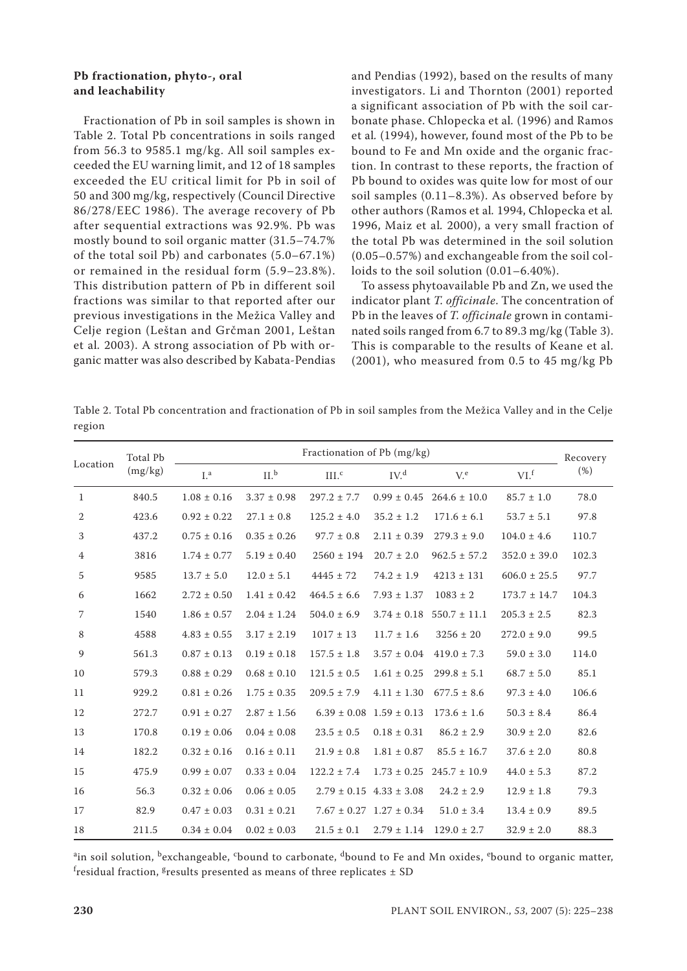#### **Pb fractionation, phyto-, oral and leachability**

Fractionation of Pb in soil samples is shown in Table 2. Total Pb concentrations in soils ranged from 56.3 to 9585.1 mg/kg. All soil samples exceeded the EU warning limit, and 12 of 18 samples exceeded the EU critical limit for Pb in soil of 50 and 300 mg/kg, respectively (Council Directive 86/278/EEC 1986). The average recovery of Pb after sequential extractions was 92.9%. Pb was mostly bound to soil organic matter (31.5–74.7% of the total soil Pb) and carbonates (5.0–67.1%) or remained in the residual form (5.9–23.8%). This distribution pattern of Pb in different soil fractions was similar to that reported after our previous investigations in the Mežica Valley and Celje region (Leštan and Grčman 2001, Leštan et al*.* 2003). A strong association of Pb with organic matter was also described by Kabata-Pendias and Pendias (1992), based on the results of many investigators. Li and Thornton (2001) reported a significant association of Pb with the soil carbonate phase. Chlopecka et al*.* (1996) and Ramos et al*.* (1994), however, found most of the Pb to be bound to Fe and Mn oxide and the organic fraction. In contrast to these reports, the fraction of Pb bound to oxides was quite low for most of our soil samples (0.11–8.3%). As observed before by other authors (Ramos et al*.* 1994, Chlopecka et al*.* 1996, Maiz et al*.* 2000), a very small fraction of the total Pb was determined in the soil solution (0.05–0.57%) and exchangeable from the soil colloids to the soil solution (0.01–6.40%).

To assess phytoavailable Pb and Zn, we used the indicator plant *T. officinale*. The concentration of Pb in the leaves of *T. officinale* grown in contaminated soils ranged from 6.7 to 89.3 mg/kg (Table 3). This is comparable to the results of Keane et al. (2001), who measured from 0.5 to 45 mg/kg Pb

Table 2. Total Pb concentration and fractionation of Pb in soil samples from the Mežica Valley and in the Celje region

| Location | <b>Total Pb</b><br>(mg/kg) | Fractionation of Pb (mg/kg) |                 |                  |                                 |                  |                  | Recovery |
|----------|----------------------------|-----------------------------|-----------------|------------------|---------------------------------|------------------|------------------|----------|
|          |                            | I. <sup>a</sup>             | II <sub>p</sub> | III <sup>c</sup> | IV <sup>d</sup>                 | V <sup>e</sup>   | VI. <sup>f</sup> | $(\%)$   |
| 1        | 840.5                      | $1.08 \pm 0.16$             | $3.37 \pm 0.98$ | $297.2 \pm 7.7$  | $0.99 \pm 0.45$                 | $264.6 \pm 10.0$ | $85.7 \pm 1.0$   | 78.0     |
| 2        | 423.6                      | $0.92 \pm 0.22$             | $27.1 \pm 0.8$  | $125.2 \pm 4.0$  | $35.2 \pm 1.2$                  | $171.6 \pm 6.1$  | $53.7 \pm 5.1$   | 97.8     |
| 3        | 437.2                      | $0.75 \pm 0.16$             | $0.35 \pm 0.26$ | $97.7 \pm 0.8$   | $2.11 \pm 0.39$                 | $279.3 \pm 9.0$  | $104.0 \pm 4.6$  | 110.7    |
| 4        | 3816                       | $1.74 \pm 0.77$             | $5.19 \pm 0.40$ | $2560 \pm 194$   | $20.7 \pm 2.0$                  | $962.5 \pm 57.2$ | $352.0 \pm 39.0$ | 102.3    |
| 5        | 9585                       | $13.7 \pm 5.0$              | $12.0 \pm 5.1$  | $4445 \pm 72$    | $74.2 \pm 1.9$                  | $4213 \pm 131$   | $606.0 \pm 25.5$ | 97.7     |
| 6        | 1662                       | $2.72 \pm 0.50$             | $1.41 \pm 0.42$ | $464.5 \pm 6.6$  | $7.93 \pm 1.37$                 | $1083 \pm 2$     | $173.7 \pm 14.7$ | 104.3    |
| 7        | 1540                       | $1.86 \pm 0.57$             | $2.04 \pm 1.24$ | $504.0 \pm 6.9$  | $3.74 \pm 0.18$                 | $550.7 \pm 11.1$ | $205.3 \pm 2.5$  | 82.3     |
| 8        | 4588                       | $4.83 \pm 0.55$             | $3.17 \pm 2.19$ | $1017 \pm 13$    | $11.7 \pm 1.6$                  | $3256 \pm 20$    | $272.0 \pm 9.0$  | 99.5     |
| 9        | 561.3                      | $0.87 \pm 0.13$             | $0.19 \pm 0.18$ | $157.5 \pm 1.8$  | $3.57 \pm 0.04$                 | $419.0 \pm 7.3$  | $59.0 \pm 3.0$   | 114.0    |
| 10       | 579.3                      | $0.88 \pm 0.29$             | $0.68 \pm 0.10$ | $121.5 \pm 0.5$  | $1.61 \pm 0.25$                 | $299.8 \pm 5.1$  | $68.7 \pm 5.0$   | 85.1     |
| 11       | 929.2                      | $0.81 \pm 0.26$             | $1.75 \pm 0.35$ | $209.5 \pm 7.9$  | $4.11 \pm 1.30$                 | $677.5 \pm 8.6$  | $97.3 \pm 4.0$   | 106.6    |
| 12       | 272.7                      | $0.91 \pm 0.27$             | $2.87 \pm 1.56$ | $6.39 \pm 0.08$  | $1.59 \pm 0.13$                 | $173.6 \pm 1.6$  | $50.3 \pm 8.4$   | 86.4     |
| 13       | 170.8                      | $0.19 \pm 0.06$             | $0.04 \pm 0.08$ | $23.5 \pm 0.5$   | $0.18 \pm 0.31$                 | $86.2 \pm 2.9$   | $30.9 \pm 2.0$   | 82.6     |
| 14       | 182.2                      | $0.32 \pm 0.16$             | $0.16 \pm 0.11$ | $21.9 \pm 0.8$   | $1.81 \pm 0.87$                 | $85.5 \pm 16.7$  | $37.6 \pm 2.0$   | 80.8     |
| 15       | 475.9                      | $0.99 \pm 0.07$             | $0.33 \pm 0.04$ | $122.2 \pm 7.4$  | $1.73 \pm 0.25$                 | $245.7 \pm 10.9$ | $44.0 \pm 5.3$   | 87.2     |
| 16       | 56.3                       | $0.32 \pm 0.06$             | $0.06 \pm 0.05$ |                  | $2.79 \pm 0.15$ 4.33 $\pm$ 3.08 | $24.2 \pm 2.9$   | $12.9 \pm 1.8$   | 79.3     |
| 17       | 82.9                       | $0.47 \pm 0.03$             | $0.31 \pm 0.21$ |                  | $7.67 \pm 0.27$ 1.27 $\pm$ 0.34 | $51.0 \pm 3.4$   | $13.4 \pm 0.9$   | 89.5     |
| 18       | 211.5                      | $0.34 \pm 0.04$             | $0.02\pm0.03$   | $21.5 \pm 0.1$   | $2.79 \pm 1.14$                 | $129.0 \pm 2.7$  | $32.9 \pm 2.0$   | 88.3     |

<sup>a</sup>in soil solution, <sup>b</sup>exchangeable, <sup>c</sup>bound to carbonate, <sup>d</sup>bound to Fe and Mn oxides, <sup>e</sup>bound to organic matter,  $^{\rm f}$ residual fraction,  $^{\rm g}$ results presented as means of three replicates  $\pm$  SD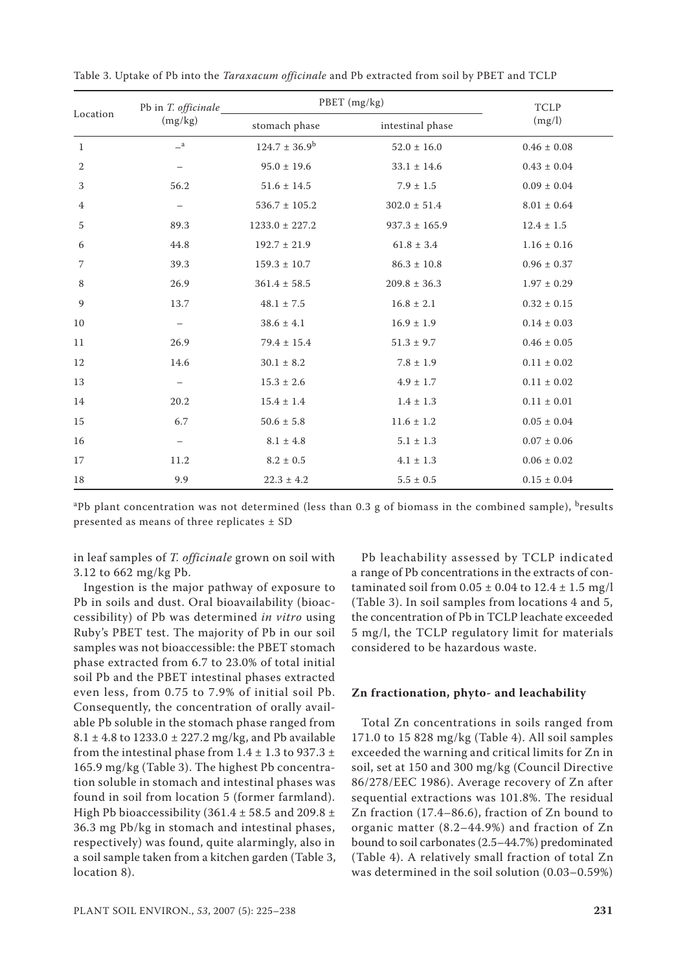| Location     | Pb in T. officinale      | PBET (mg/kg)       | <b>TCLP</b>       |                 |
|--------------|--------------------------|--------------------|-------------------|-----------------|
|              | (mg/kg)                  | stomach phase      | intestinal phase  | (mg/l)          |
| 1            | $\mathbf{a}$             | $124.7 \pm 36.9^b$ | $52.0 \pm 16.0$   | $0.46 \pm 0.08$ |
| $\mathbf{2}$ |                          | $95.0 \pm 19.6$    | $33.1 \pm 14.6$   | $0.43 \pm 0.04$ |
| 3            | 56.2                     | $51.6 \pm 14.5$    | $7.9 \pm 1.5$     | $0.09 \pm 0.04$ |
| 4            |                          | $536.7 \pm 105.2$  | $302.0 \pm 51.4$  | $8.01 \pm 0.64$ |
| 5            | 89.3                     | $1233.0 \pm 227.2$ | $937.3 \pm 165.9$ | $12.4 \pm 1.5$  |
| 6            | 44.8                     | $192.7 \pm 21.9$   | $61.8 \pm 3.4$    | $1.16 \pm 0.16$ |
| 7            | 39.3                     | $159.3 \pm 10.7$   | $86.3 \pm 10.8$   | $0.96 \pm 0.37$ |
| $\,8\,$      | 26.9                     | $361.4 \pm 58.5$   | $209.8 \pm 36.3$  | $1.97 \pm 0.29$ |
| 9            | 13.7                     | $48.1 \pm 7.5$     | $16.8 \pm 2.1$    | $0.32 \pm 0.15$ |
| 10           | $\qquad \qquad -$        | $38.6 \pm 4.1$     | $16.9 \pm 1.9$    | $0.14 \pm 0.03$ |
| 11           | 26.9                     | $79.4 \pm 15.4$    | $51.3 \pm 9.7$    | $0.46 \pm 0.05$ |
| 12           | 14.6                     | $30.1 \pm 8.2$     | $7.8 \pm 1.9$     | $0.11 \pm 0.02$ |
| 13           | $\overline{\phantom{m}}$ | $15.3 \pm 2.6$     | $4.9 \pm 1.7$     | $0.11 \pm 0.02$ |
| 14           | 20.2                     | $15.4 \pm 1.4$     | $1.4 \pm 1.3$     | $0.11 \pm 0.01$ |
| 15           | 6.7                      | $50.6 \pm 5.8$     | $11.6 \pm 1.2$    | $0.05 \pm 0.04$ |
| 16           | $\overline{\phantom{m}}$ | $8.1 \pm 4.8$      | $5.1 \pm 1.3$     | $0.07 \pm 0.06$ |
| 17           | 11.2                     | $8.2 \pm 0.5$      | $4.1\pm1.3$       | $0.06 \pm 0.02$ |
| 18           | 9.9                      | $22.3 \pm 4.2$     | $5.5\pm0.5$       | $0.15 \pm 0.04$ |

| Table 3. Uptake of Pb into the Taraxacum officinale and Pb extracted from soil by PBET and TCLP |  |  |
|-------------------------------------------------------------------------------------------------|--|--|
|-------------------------------------------------------------------------------------------------|--|--|

<sup>a</sup>Pb plant concentration was not determined (less than 0.3 g of biomass in the combined sample), <sup>b</sup>results presented as means of three replicates ± SD

in leaf samples of *T. officinale* grown on soil with 3.12 to 662 mg/kg Pb.

Ingestion is the major pathway of exposure to Pb in soils and dust. Oral bioavailability (bioaccessibility) of Pb was determined *in vitro* using Ruby's PBET test. The majority of Pb in our soil samples was not bioaccessible: the PBET stomach phase extracted from 6.7 to 23.0% of total initial soil Pb and the PBET intestinal phases extracted even less, from 0.75 to 7.9% of initial soil Pb. Consequently, the concentration of orally available Pb soluble in the stomach phase ranged from  $8.1 \pm 4.8$  to  $1233.0 \pm 227.2$  mg/kg, and Pb available from the intestinal phase from  $1.4 \pm 1.3$  to 937.3  $\pm$ 165.9 mg/kg (Table 3). The highest Pb concentration soluble in stomach and intestinal phases was found in soil from location 5 (former farmland). High Pb bioaccessibility (361.4  $\pm$  58.5 and 209.8  $\pm$ 36.3 mg Pb/kg in stomach and intestinal phases, respectively) was found, quite alarmingly, also in a soil sample taken from a kitchen garden (Table 3, location 8).

Pb leachability assessed by TCLP indicated a range of Pb concentrations in the extracts of contaminated soil from  $0.05 \pm 0.04$  to  $12.4 \pm 1.5$  mg/l (Table 3). In soil samples from locations 4 and 5, the concentration of Pb in TCLP leachate exceeded 5 mg/l, the TCLP regulatory limit for materials considered to be hazardous waste.

#### **Zn fractionation, phyto- and leachability**

Total Zn concentrations in soils ranged from 171.0 to 15 828 mg/kg (Table 4). All soil samples exceeded the warning and critical limits for Zn in soil, set at 150 and 300 mg/kg (Council Directive 86/278/EEC 1986). Average recovery of Zn after sequential extractions was 101.8%. The residual Zn fraction (17.4–86.6), fraction of Zn bound to organic matter (8.2–44.9%) and fraction of Zn bound to soil carbonates (2.5–44.7%) predominated (Table 4). A relatively small fraction of total Zn was determined in the soil solution (0.03–0.59%)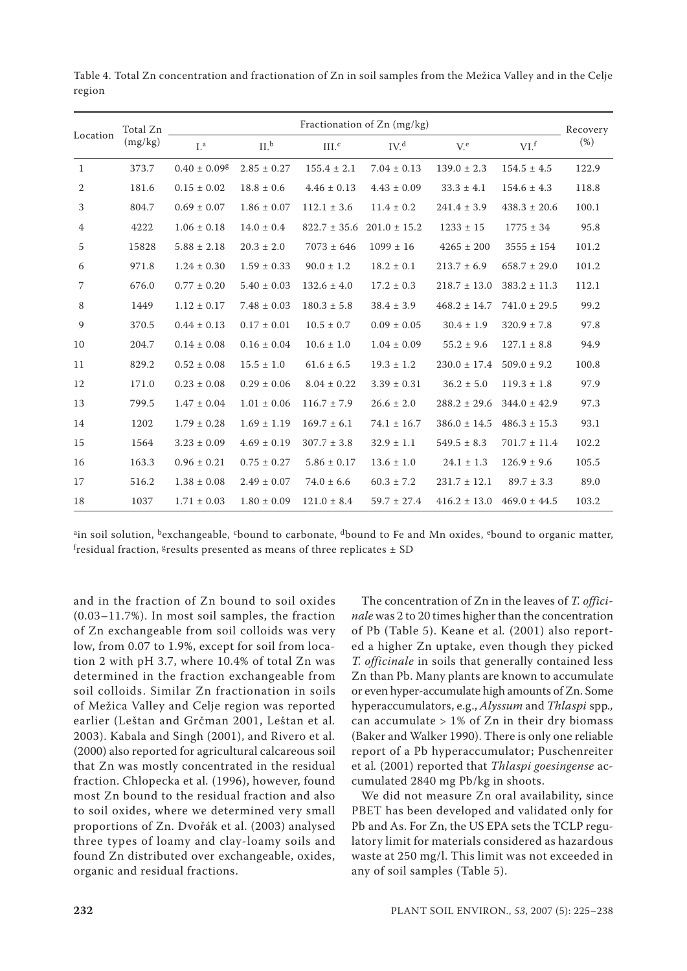| Location       | Total Zn<br>(mg/kg) | Fractionation of Zn (mg/kg) |                 |                  |                  |                  |                  | Recovery |
|----------------|---------------------|-----------------------------|-----------------|------------------|------------------|------------------|------------------|----------|
|                |                     | $\mathrm{I}^{\mathrm{a}}$   | II.             | III <sup>c</sup> | IV <sup>d</sup>  | V <sup>e</sup>   | VI. <sup>f</sup> | (% )     |
| 1              | 373.7               | $0.40 \pm 0.09$ g           | $2.85 \pm 0.27$ | $155.4 \pm 2.1$  | $7.04 \pm 0.13$  | $139.0 \pm 2.3$  | $154.5 \pm 4.5$  | 122.9    |
| 2              | 181.6               | $0.15 \pm 0.02$             | $18.8 \pm 0.6$  | $4.46 \pm 0.13$  | $4.43 \pm 0.09$  | $33.3 \pm 4.1$   | $154.6 \pm 4.3$  | 118.8    |
| 3              | 804.7               | $0.69 \pm 0.07$             | $1.86 \pm 0.07$ | $112.1 \pm 3.6$  | $11.4 \pm 0.2$   | $241.4 \pm 3.9$  | $438.3 \pm 20.6$ | 100.1    |
| $\overline{4}$ | 4222                | $1.06 \pm 0.18$             | $14.0 \pm 0.4$  | $822.7 \pm 35.6$ | $201.0 \pm 15.2$ | $1233 \pm 15$    | $1775 \pm 34$    | 95.8     |
| 5              | 15828               | $5.88 \pm 2.18$             | $20.3 \pm 2.0$  | $7073 \pm 646$   | $1099 \pm 16$    | $4265 \pm 200$   | $3555 \pm 154$   | 101.2    |
| 6              | 971.8               | $1.24 \pm 0.30$             | $1.59 \pm 0.33$ | $90.0 \pm 1.2$   | $18.2\pm0.1$     | $213.7 \pm 6.9$  | $658.7 \pm 29.0$ | 101.2    |
| 7              | 676.0               | $0.77 \pm 0.20$             | $5.40 \pm 0.03$ | $132.6 \pm 4.0$  | $17.2 \pm 0.3$   | $218.7 \pm 13.0$ | $383.2 \pm 11.3$ | 112.1    |
| 8              | 1449                | $1.12 \pm 0.17$             | $7.48 \pm 0.03$ | $180.3 \pm 5.8$  | $38.4 \pm 3.9$   | $468.2 \pm 14.7$ | $741.0 \pm 29.5$ | 99.2     |
| 9              | 370.5               | $0.44 \pm 0.13$             | $0.17 \pm 0.01$ | $10.5 \pm 0.7$   | $0.09 \pm 0.05$  | $30.4 \pm 1.9$   | $320.9 \pm 7.8$  | 97.8     |
| 10             | 204.7               | $0.14 \pm 0.08$             | $0.16 \pm 0.04$ | $10.6 \pm 1.0$   | $1.04 \pm 0.09$  | $55.2 \pm 9.6$   | $127.1 \pm 8.8$  | 94.9     |
| 11             | 829.2               | $0.52 \pm 0.08$             | $15.5 \pm 1.0$  | $61.6 \pm 6.5$   | $19.3 \pm 1.2$   | $230.0 \pm 17.4$ | $509.0 \pm 9.2$  | 100.8    |
| 12             | 171.0               | $0.23 \pm 0.08$             | $0.29 \pm 0.06$ | $8.04 \pm 0.22$  | $3.39 \pm 0.31$  | $36.2 \pm 5.0$   | $119.3 \pm 1.8$  | 97.9     |
| 13             | 799.5               | $1.47 \pm 0.04$             | $1.01 \pm 0.06$ | $116.7 \pm 7.9$  | $26.6 \pm 2.0$   | $288.2 \pm 29.6$ | $344.0 \pm 42.9$ | 97.3     |
| 14             | 1202                | $1.79 \pm 0.28$             | $1.69 \pm 1.19$ | $169.7 \pm 6.1$  | $74.1 \pm 16.7$  | $386.0 \pm 14.5$ | $486.3 \pm 15.3$ | 93.1     |
| 15             | 1564                | $3.23 \pm 0.09$             | $4.69 \pm 0.19$ | $307.7 \pm 3.8$  | $32.9 \pm 1.1$   | $549.5 \pm 8.3$  | $701.7 \pm 11.4$ | 102.2    |
| 16             | 163.3               | $0.96 \pm 0.21$             | $0.75 \pm 0.27$ | $5.86 \pm 0.17$  | $13.6 \pm 1.0$   | $24.1 \pm 1.3$   | $126.9 \pm 9.6$  | 105.5    |
| 17             | 516.2               | $1.38 \pm 0.08$             | $2.49 \pm 0.07$ | $74.0 \pm 6.6$   | $60.3 \pm 7.2$   | $231.7 \pm 12.1$ | $89.7 \pm 3.3$   | 89.0     |
| 18             | 1037                | $1.71 \pm 0.03$             | $1.80 \pm 0.09$ | $121.0 \pm 8.4$  | $59.7 \pm 27.4$  | $416.2 \pm 13.0$ | $469.0 \pm 44.5$ | 103.2    |

Table 4. Total Zn concentration and fractionation of Zn in soil samples from the Mežica Valley and in the Celje region

ain soil solution, bexchangeable, <sup>c</sup>bound to carbonate, <sup>d</sup>bound to Fe and Mn oxides, <sup>e</sup>bound to organic matter,  $\rm ^f$ residual fraction,  $\rm ^g$ results presented as means of three replicates  $\rm \pm 5D$ 

and in the fraction of Zn bound to soil oxides (0.03–11.7%). In most soil samples, the fraction of Zn exchangeable from soil colloids was very low, from 0.07 to 1.9%, except for soil from location 2 with pH 3.7, where 10.4% of total Zn was determined in the fraction exchangeable from soil colloids. Similar Zn fractionation in soils of Mežica Valley and Celje region was reported earlier (Leštan and Grčman 2001, Leštan et al*.* 2003). Kabala and Singh (2001), and Rivero et al*.* (2000) also reported for agricultural calcareous soil that Zn was mostly concentrated in the residual fraction. Chlopecka et al*.* (1996), however, found most Zn bound to the residual fraction and also to soil oxides, where we determined very small proportions of Zn. Dvořák et al. (2003) analysed three types of loamy and clay-loamy soils and found Zn distributed over exchangeable, oxides, organic and residual fractions.

The concentration of Zn in the leaves of *T. officinale* was 2 to 20 times higher than the concentration of Pb (Table 5). Keane et al*.* (2001) also reported a higher Zn uptake, even though they picked *T. officinale* in soils that generally contained less Zn than Pb. Many plants are known to accumulate or even hyper-accumulate high amounts of Zn. Some hyperaccumulators, e.g., *Alyssum* and *Thlaspi* spp*.,* can accumulate  $> 1\%$  of Zn in their dry biomass (Baker and Walker 1990). There is only one reliable report of a Pb hyperaccumulator; Puschenreiter et al*.* (2001) reported that *Thlaspi goesingense* accumulated 2840 mg Pb/kg in shoots.

We did not measure Zn oral availability, since PBET has been developed and validated only for Pb and As. For Zn, the US EPA sets the TCLP regulatory limit for materials considered as hazardous waste at 250 mg/l. This limit was not exceeded in any of soil samples (Table 5).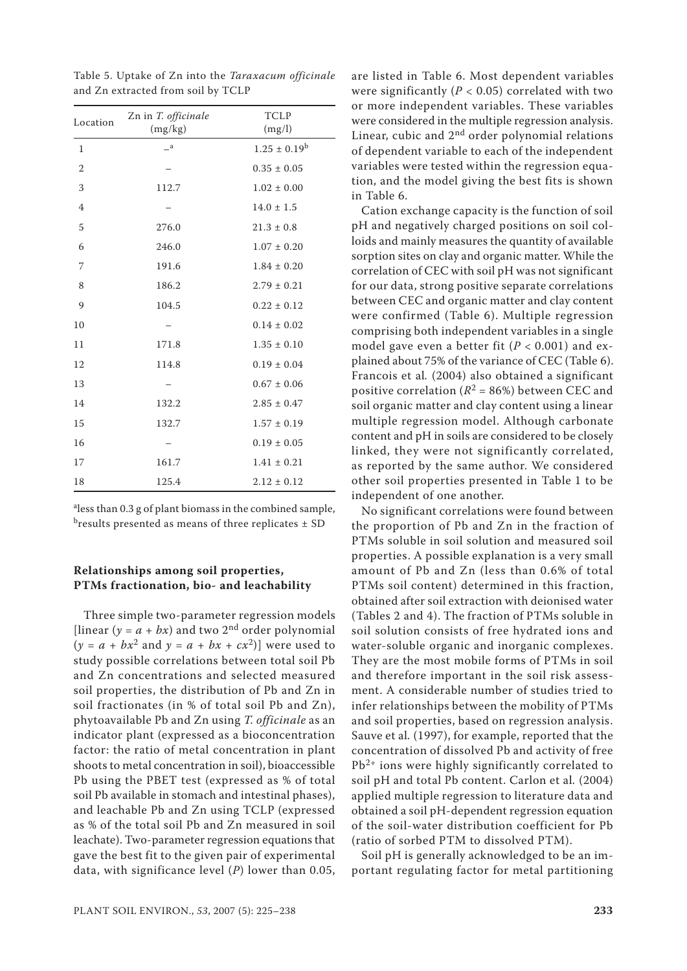| Location       | Zn in T. officinale<br>(mg/kg) | TCLP<br>(mg/l)          |  |  |
|----------------|--------------------------------|-------------------------|--|--|
| 1              | $\mathbf{a}$                   | $1.25 \pm 0.19^{\rm b}$ |  |  |
| $\overline{2}$ |                                | $0.35 \pm 0.05$         |  |  |
| 3              | 112.7                          | $1.02 \pm 0.00$         |  |  |
| $\overline{4}$ |                                | $14.0 \pm 1.5$          |  |  |
| 5              | 276.0                          | $21.3 \pm 0.8$          |  |  |
| 6              | 246.0                          | $1.07 \pm 0.20$         |  |  |
| 7              | 191.6                          | $1.84 \pm 0.20$         |  |  |
| 8              | 186.2                          | $2.79 \pm 0.21$         |  |  |
| 9              | 104.5                          | $0.22 \pm 0.12$         |  |  |
| 10             |                                | $0.14 \pm 0.02$         |  |  |
| 11             | 171.8                          | $1.35 \pm 0.10$         |  |  |
| 12             | 114.8                          | $0.19 \pm 0.04$         |  |  |
| 13             |                                | $0.67 \pm 0.06$         |  |  |
| 14             | 132.2                          | $2.85 \pm 0.47$         |  |  |
| 15             | 132.7                          | $1.57 \pm 0.19$         |  |  |
| 16             |                                | $0.19 \pm 0.05$         |  |  |
| 17             | 161.7                          | $1.41 \pm 0.21$         |  |  |
| 18             | 125.4                          | $2.12 \pm 0.12$         |  |  |

Table 5. Uptake of Zn into the *Taraxacum officinale* and Zn extracted from soil by TCLP

aless than 0.3 g of plant biomass in the combined sample,  $<sup>b</sup>$ results presented as means of three replicates  $\pm$  SD</sup>

### **Relationships among soil properties, PTMs fractionation, bio- and leachability**

Three simple two-parameter regression models [linear ( $y = a + bx$ ) and two 2<sup>nd</sup> order polynomial  $(y = a + bx^2$  and  $y = a + bx + cx^2$ ] were used to study possible correlations between total soil Pb and Zn concentrations and selected measured soil properties, the distribution of Pb and Zn in soil fractionates (in % of total soil Pb and Zn), phytoavailable Pb and Zn using *T. officinale* as an indicator plant (expressed as a bioconcentration factor: the ratio of metal concentration in plant shoots to metal concentration in soil), bioaccessible Pb using the PBET test (expressed as % of total soil Pb available in stomach and intestinal phases), and leachable Pb and Zn using TCLP (expressed as % of the total soil Pb and Zn measured in soil leachate). Two-parameter regression equations that gave the best fit to the given pair of experimental data, with significance level (*P*) lower than 0.05,

are listed in Table 6. Most dependent variables were significantly ( $P < 0.05$ ) correlated with two or more independent variables. These variables were considered in the multiple regression analysis. Linear, cubic and  $2<sup>nd</sup>$  order polynomial relations of dependent variable to each of the independent variables were tested within the regression equation, and the model giving the best fits is shown in Table 6.

Cation exchange capacity is the function of soil pH and negatively charged positions on soil colloids and mainly measures the quantity of available sorption sites on clay and organic matter. While the correlation of CEC with soil pH was not significant for our data, strong positive separate correlations between CEC and organic matter and clay content were confirmed (Table 6). Multiple regression comprising both independent variables in a single model gave even a better fit (*P* < 0.001) and explained about 75% of the variance of CEC (Table 6). Francois et al*.* (2004) also obtained a significant positive correlation  $(R^2 = 86%)$  between CEC and soil organic matter and clay content using a linear multiple regression model. Although carbonate content and pH in soils are considered to be closely linked, they were not significantly correlated, as reported by the same author. We considered other soil properties presented in Table 1 to be independent of one another.

No significant correlations were found between the proportion of Pb and Zn in the fraction of PTMs soluble in soil solution and measured soil properties. A possible explanation is a very small amount of Pb and Zn (less than 0.6% of total PTMs soil content) determined in this fraction, obtained after soil extraction with deionised water (Tables 2 and 4). The fraction of PTMs soluble in soil solution consists of free hydrated ions and water-soluble organic and inorganic complexes. They are the most mobile forms of PTMs in soil and therefore important in the soil risk assessment. A considerable number of studies tried to infer relationships between the mobility of PTMs and soil properties, based on regression analysis. Sauve et al*.* (1997), for example, reported that the concentration of dissolved Pb and activity of free Pb<sup>2+</sup> ions were highly significantly correlated to soil pH and total Pb content. Carlon et al*.* (2004) applied multiple regression to literature data and obtained a soil pH-dependent regression equation of the soil-water distribution coefficient for Pb (ratio of sorbed PTM to dissolved PTM).

Soil pH is generally acknowledged to be an important regulating factor for metal partitioning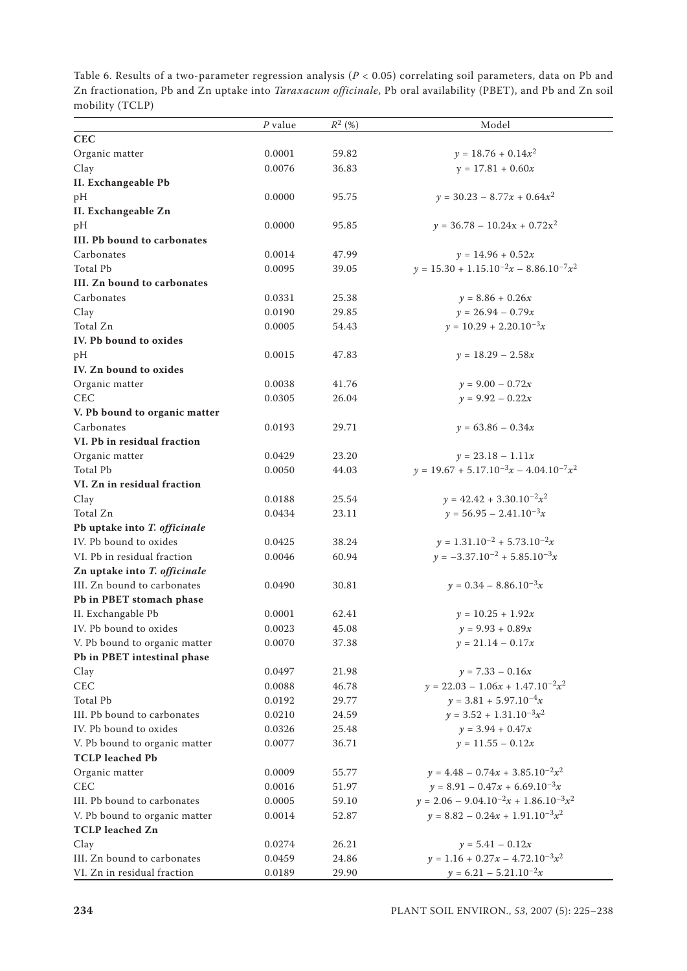Table 6. Results of a two-parameter regression analysis (*P* < 0.05) correlating soil parameters, data on Pb and Zn fractionation, Pb and Zn uptake into *Taraxacum officinale*, Pb oral availability (PBET), and Pb and Zn soil mobility (TCLP)

|                                    | $P$ value | $R^2~(\%)$ | Model                                         |
|------------------------------------|-----------|------------|-----------------------------------------------|
| <b>CEC</b>                         |           |            |                                               |
| Organic matter                     | 0.0001    | 59.82      | $y = 18.76 + 0.14x^2$                         |
| Clay                               | 0.0076    | 36.83      | $y = 17.81 + 0.60x$                           |
| II. Exchangeable Pb                |           |            |                                               |
| pH                                 | 0.0000    | 95.75      | $y = 30.23 - 8.77x + 0.64x^2$                 |
| II. Exchangeable Zn                |           |            |                                               |
| pH                                 | 0.0000    | 95.85      | $y = 36.78 - 10.24x + 0.72x^2$                |
| <b>III. Pb bound to carbonates</b> |           |            |                                               |
| Carbonates                         | 0.0014    | 47.99      | $y = 14.96 + 0.52x$                           |
| <b>Total Pb</b>                    | 0.0095    | 39.05      | $y = 15.30 + 1.15.10^{-2}x - 8.86.10^{-7}x^2$ |
| III. Zn bound to carbonates        |           |            |                                               |
| Carbonates                         | 0.0331    | 25.38      | $y = 8.86 + 0.26x$                            |
| Clay                               | 0.0190    | 29.85      | $y = 26.94 - 0.79x$                           |
| Total Zn                           | 0.0005    | 54.43      | $y = 10.29 + 2.20.10^{-3}x$                   |
| IV. Pb bound to oxides             |           |            |                                               |
| pH                                 | 0.0015    | 47.83      | $y = 18.29 - 2.58x$                           |
| IV. Zn bound to oxides             |           |            |                                               |
| Organic matter                     | 0.0038    | 41.76      | $y = 9.00 - 0.72x$                            |
| <b>CEC</b>                         | 0.0305    | 26.04      | $y = 9.92 - 0.22x$                            |
| V. Pb bound to organic matter      |           |            |                                               |
| Carbonates                         | 0.0193    | 29.71      | $y = 63.86 - 0.34x$                           |
| VI. Pb in residual fraction        |           |            |                                               |
| Organic matter                     | 0.0429    | 23.20      | $y = 23.18 - 1.11x$                           |
| Total Pb                           | 0.0050    | 44.03      | $y = 19.67 + 5.17.10^{-3}x - 4.04.10^{-7}x^2$ |
| VI. Zn in residual fraction        |           |            |                                               |
| Clay                               | 0.0188    | 25.54      | $y = 42.42 + 3.30.10^{-2}x^2$                 |
| Total Zn                           | 0.0434    | 23.11      | $y = 56.95 - 2.41.10^{-3}x$                   |
| Pb uptake into T. officinale       |           |            |                                               |
| IV. Pb bound to oxides             | 0.0425    | 38.24      | $y = 1.31.10^{-2} + 5.73.10^{-2}x$            |
| VI. Pb in residual fraction        | 0.0046    | 60.94      | $y = -3.37.10^{-2} + 5.85.10^{-3}x$           |
| Zn uptake into T. officinale       |           |            |                                               |
| III. Zn bound to carbonates        | 0.0490    | 30.81      | $y = 0.34 - 8.86.10^{-3}x$                    |
| Pb in PBET stomach phase           |           |            |                                               |
| II. Exchangable Pb                 | 0.0001    | 62.41      | $y = 10.25 + 1.92x$                           |
| IV. Pb bound to oxides             | 0.0023    | 45.08      | $y = 9.93 + 0.89x$                            |
| V. Pb bound to organic matter      | 0.0070    | 37.38      | $y = 21.14 - 0.17x$                           |
| Pb in PBET intestinal phase        |           |            |                                               |
| Clay                               | 0.0497    | 21.98      | $y = 7.33 - 0.16x$                            |
| $\ensuremath{\mathsf{CEC}}$        | 0.0088    | 46.78      | $y = 22.03 - 1.06x + 1.47.10^{-2}x^2$         |
| Total Pb                           | 0.0192    | 29.77      | $y = 3.81 + 5.97.10^{-4}x$                    |
| III. Pb bound to carbonates        | 0.0210    | 24.59      | $y = 3.52 + 1.31.10^{-3}x^2$                  |
| IV. Pb bound to oxides             | 0.0326    | 25.48      | $y = 3.94 + 0.47x$                            |
| V. Pb bound to organic matter      | 0.0077    | 36.71      | $y = 11.55 - 0.12x$                           |
| <b>TCLP</b> leached Pb             |           |            |                                               |
| Organic matter                     | 0.0009    | 55.77      | $y = 4.48 - 0.74x + 3.85.10^{-2}x^2$          |
| <b>CEC</b>                         | 0.0016    | 51.97      | $y = 8.91 - 0.47x + 6.69.10^{-3}x$            |
| III. Pb bound to carbonates        | 0.0005    | 59.10      | $y = 2.06 - 9.04.10^{-2}x + 1.86.10^{-3}x^2$  |
| V. Pb bound to organic matter      | 0.0014    | 52.87      | $y = 8.82 - 0.24x + 1.91.10^{-3}x^2$          |
| <b>TCLP</b> leached Zn             |           |            |                                               |
| Clay                               | 0.0274    | 26.21      | $y = 5.41 - 0.12x$                            |
| III. Zn bound to carbonates        | 0.0459    | 24.86      | $y = 1.16 + 0.27x - 4.72.10^{-3}x^2$          |
| VI. Zn in residual fraction        | 0.0189    | 29.90      | $y = 6.21 - 5.21.10^{-2}x$                    |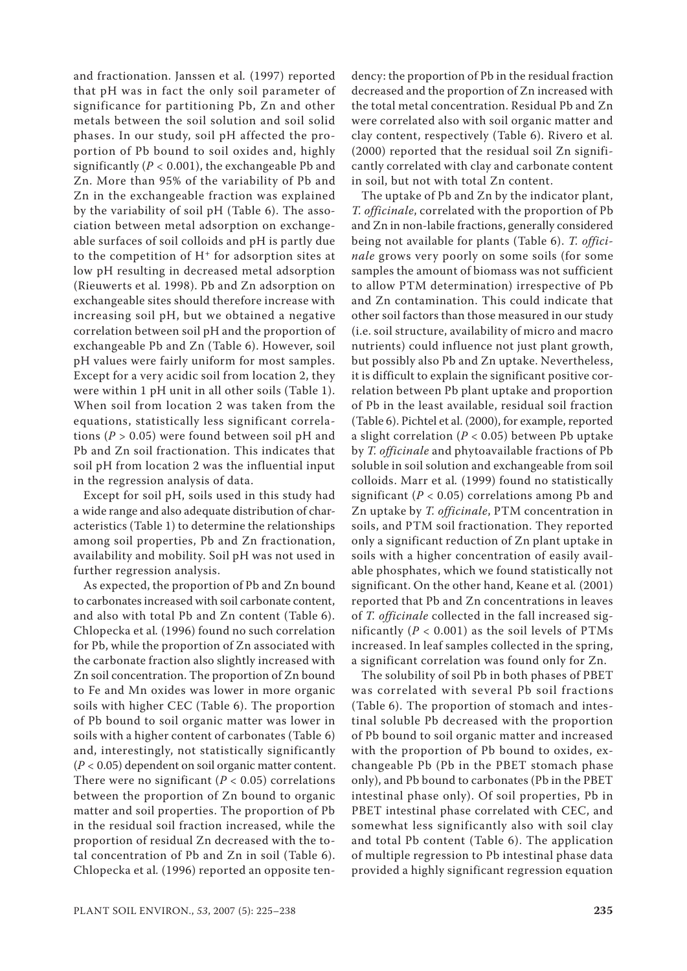and fractionation. Janssen et al*.* (1997) reported that pH was in fact the only soil parameter of significance for partitioning Pb, Zn and other metals between the soil solution and soil solid phases. In our study, soil pH affected the proportion of Pb bound to soil oxides and, highly significantly  $(P < 0.001)$ , the exchangeable Pb and Zn. More than 95% of the variability of Pb and Zn in the exchangeable fraction was explained by the variability of soil pH (Table 6). The association between metal adsorption on exchangeable surfaces of soil colloids and pH is partly due to the competition of  $H^+$  for adsorption sites at low pH resulting in decreased metal adsorption (Rieuwerts et al*.* 1998). Pb and Zn adsorption on exchangeable sites should therefore increase with increasing soil pH, but we obtained a negative correlation between soil pH and the proportion of exchangeable Pb and Zn (Table 6). However, soil pH values were fairly uniform for most samples. Except for a very acidic soil from location 2, they were within 1 pH unit in all other soils (Table 1). When soil from location 2 was taken from the equations, statistically less significant correlations ( $P > 0.05$ ) were found between soil pH and Pb and Zn soil fractionation. This indicates that soil pH from location 2 was the influential input in the regression analysis of data.

Except for soil pH, soils used in this study had a wide range and also adequate distribution of characteristics (Table 1) to determine the relationships among soil properties, Pb and Zn fractionation, availability and mobility. Soil pH was not used in further regression analysis.

As expected, the proportion of Pb and Zn bound to carbonates increased with soil carbonate content, and also with total Pb and Zn content (Table 6). Chlopecka et al*.* (1996) found no such correlation for Pb, while the proportion of Zn associated with the carbonate fraction also slightly increased with Zn soil concentration. The proportion of Zn bound to Fe and Mn oxides was lower in more organic soils with higher CEC (Table 6). The proportion of Pb bound to soil organic matter was lower in soils with a higher content of carbonates (Table 6) and, interestingly, not statistically significantly (*P* < 0.05) dependent on soil organic matter content. There were no significant ( $P < 0.05$ ) correlations between the proportion of Zn bound to organic matter and soil properties. The proportion of Pb in the residual soil fraction increased, while the proportion of residual Zn decreased with the total concentration of Pb and Zn in soil (Table 6). Chlopecka et al*.* (1996) reported an opposite ten-

dency: the proportion of Pb in the residual fraction decreased and the proportion of Zn increased with the total metal concentration. Residual Pb and Zn were correlated also with soil organic matter and clay content, respectively (Table 6). Rivero et al*.* (2000) reported that the residual soil Zn significantly correlated with clay and carbonate content in soil, but not with total Zn content.

The uptake of Pb and Zn by the indicator plant, *T. officinale*, correlated with the proportion of Pb and Zn in non-labile fractions, generally considered being not available for plants (Table 6). *T. officinale* grows very poorly on some soils (for some samples the amount of biomass was not sufficient to allow PTM determination) irrespective of Pb and Zn contamination. This could indicate that other soil factors than those measured in our study (i.e. soil structure, availability of micro and macro nutrients) could influence not just plant growth, but possibly also Pb and Zn uptake. Nevertheless, it is difficult to explain the significant positive correlation between Pb plant uptake and proportion of Pb in the least available, residual soil fraction (Table 6). Pichtel et al. (2000), for example, reported a slight correlation  $(P < 0.05)$  between Pb uptake by *T. officinale* and phytoavailable fractions of Pb soluble in soil solution and exchangeable from soil colloids. Marr et al*.* (1999) found no statistically significant  $(P < 0.05)$  correlations among Pb and Zn uptake by *T. officinale*, PTM concentration in soils, and PTM soil fractionation. They reported only a significant reduction of Zn plant uptake in soils with a higher concentration of easily available phosphates, which we found statistically not significant. On the other hand, Keane et al*.* (2001) reported that Pb and Zn concentrations in leaves of *T. officinale* collected in the fall increased significantly  $(P < 0.001)$  as the soil levels of PTMs increased. In leaf samples collected in the spring, a significant correlation was found only for Zn.

The solubility of soil Pb in both phases of PBET was correlated with several Pb soil fractions (Table 6). The proportion of stomach and intestinal soluble Pb decreased with the proportion of Pb bound to soil organic matter and increased with the proportion of Pb bound to oxides, exchangeable Pb (Pb in the PBET stomach phase only), and Pb bound to carbonates (Pb in the PBET intestinal phase only). Of soil properties, Pb in PBET intestinal phase correlated with CEC, and somewhat less significantly also with soil clay and total Pb content (Table 6). The application of multiple regression to Pb intestinal phase data provided a highly significant regression equation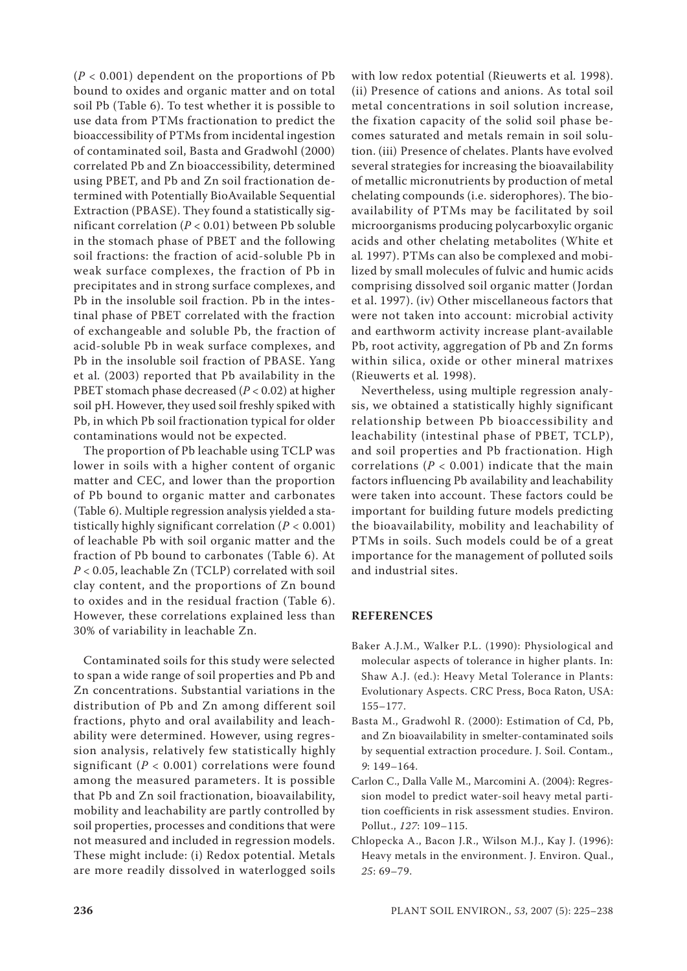(*P* < 0.001) dependent on the proportions of Pb bound to oxides and organic matter and on total soil Pb (Table 6). To test whether it is possible to use data from PTMs fractionation to predict the bioaccessibility of PTMs from incidental ingestion of contaminated soil, Basta and Gradwohl (2000) correlated Pb and Zn bioaccessibility, determined using PBET, and Pb and Zn soil fractionation determined with Potentially BioAvailable Sequential Extraction (PBASE). They found a statistically significant correlation (*P* < 0.01) between Pb soluble in the stomach phase of PBET and the following soil fractions: the fraction of acid-soluble Pb in weak surface complexes, the fraction of Pb in precipitates and in strong surface complexes, and Pb in the insoluble soil fraction. Pb in the intestinal phase of PBET correlated with the fraction of exchangeable and soluble Pb, the fraction of acid-soluble Pb in weak surface complexes, and Pb in the insoluble soil fraction of PBASE. Yang et al*.* (2003) reported that Pb availability in the PBET stomach phase decreased (*P* < 0.02) at higher soil pH. However, they used soil freshly spiked with Pb, in which Pb soil fractionation typical for older contaminations would not be expected.

The proportion of Pb leachable using TCLP was lower in soils with a higher content of organic matter and CEC, and lower than the proportion of Pb bound to organic matter and carbonates (Table 6). Multiple regression analysis yielded a statistically highly significant correlation (*P* < 0.001) of leachable Pb with soil organic matter and the fraction of Pb bound to carbonates (Table 6). At *P* < 0.05, leachable Zn (TCLP) correlated with soil clay content, and the proportions of Zn bound to oxides and in the residual fraction (Table 6). However, these correlations explained less than 30% of variability in leachable Zn.

Contaminated soils for this study were selected to span a wide range of soil properties and Pb and Zn concentrations. Substantial variations in the distribution of Pb and Zn among different soil fractions, phyto and oral availability and leachability were determined. However, using regression analysis, relatively few statistically highly significant ( $P < 0.001$ ) correlations were found among the measured parameters. It is possible that Pb and Zn soil fractionation, bioavailability, mobility and leachability are partly controlled by soil properties, processes and conditions that were not measured and included in regression models. These might include: (i) Redox potential. Metals are more readily dissolved in waterlogged soils with low redox potential (Rieuwerts et al*.* 1998). (ii) Presence of cations and anions. As total soil metal concentrations in soil solution increase, the fixation capacity of the solid soil phase becomes saturated and metals remain in soil solution. (iii) Presence of chelates. Plants have evolved several strategies for increasing the bioavailability of metallic micronutrients by production of metal chelating compounds (i.e. siderophores). The bioavailability of PTMs may be facilitated by soil microorganisms producing polycarboxylic organic acids and other chelating metabolites (White et al*.* 1997). PTMs can also be complexed and mobilized by small molecules of fulvic and humic acids comprising dissolved soil organic matter (Jordan et al. 1997). (iv) Other miscellaneous factors that were not taken into account: microbial activity and earthworm activity increase plant-available Pb, root activity, aggregation of Pb and Zn forms within silica, oxide or other mineral matrixes (Rieuwerts et al*.* 1998).

Nevertheless, using multiple regression analysis, we obtained a statistically highly significant relationship between Pb bioaccessibility and leachability (intestinal phase of PBET, TCLP), and soil properties and Pb fractionation. High correlations ( $P < 0.001$ ) indicate that the main factors influencing Pb availability and leachability were taken into account. These factors could be important for building future models predicting the bioavailability, mobility and leachability of PTMs in soils. Such models could be of a great importance for the management of polluted soils and industrial sites.

## **REFERENCES**

- Baker A.J.M., Walker P.L. (1990): Physiological and molecular aspects of tolerance in higher plants. In: Shaw A.J. (ed.): Heavy Metal Tolerance in Plants: Evolutionary Aspects. CRC Press, Boca Raton, USA: 155–177.
- Basta M., Gradwohl R. (2000): Estimation of Cd, Pb, and Zn bioavailability in smelter-contaminated soils by sequential extraction procedure. J. Soil. Contam., *9*: 149–164.
- Carlon C., Dalla Valle M., Marcomini A. (2004): Regression model to predict water-soil heavy metal partition coefficients in risk assessment studies. Environ. Pollut., *127*: 109–115.
- Chlopecka A., Bacon J.R., Wilson M.J., Kay J. (1996): Heavy metals in the environment. J. Environ. Qual., *25*: 69–79.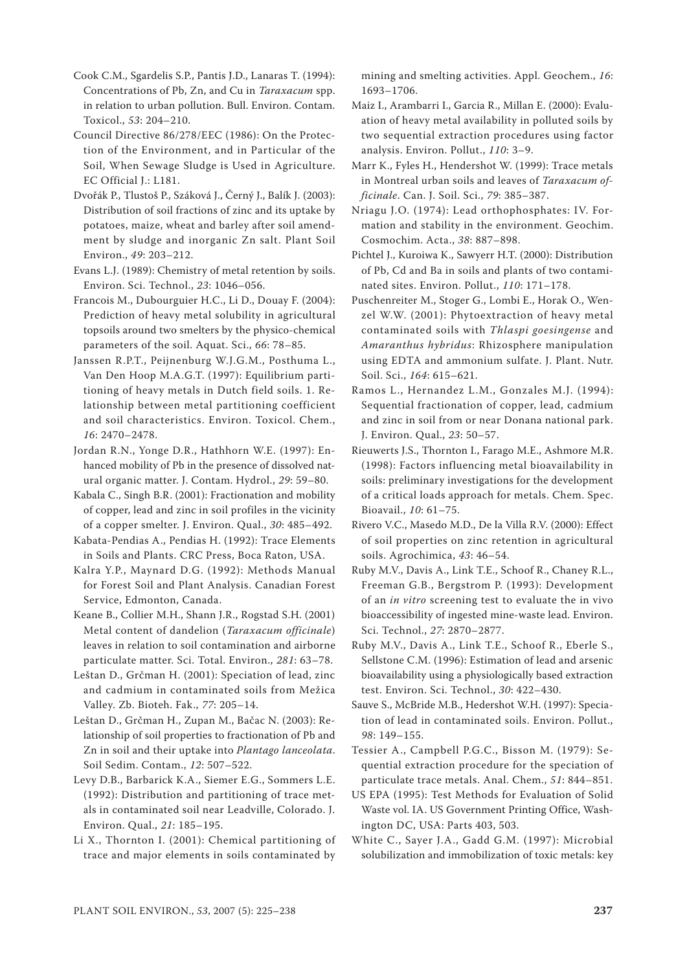Cook C.M., Sgardelis S.P., Pantis J.D., Lanaras T. (1994): Concentrations of Pb, Zn, and Cu in *Taraxacum* spp. in relation to urban pollution. Bull. Environ. Contam. Toxicol., *53*: 204–210.

Council Directive 86/278/EEC (1986): On the Protection of the Environment, and in Particular of the Soil, When Sewage Sludge is Used in Agriculture. EC Official J.: L181.

Dvořák P., Tlustoš P., Száková J., Černý J., Balík J. (2003): Distribution of soil fractions of zinc and its uptake by potatoes, maize, wheat and barley after soil amendment by sludge and inorganic Zn salt. Plant Soil Environ., *49*: 203–212.

Evans L.J. (1989): Chemistry of metal retention by soils. Environ. Sci. Technol., *23*: 1046–056.

Francois M., Dubourguier H.C., Li D., Douay F. (2004): Prediction of heavy metal solubility in agricultural topsoils around two smelters by the physico-chemical parameters of the soil. Aquat. Sci., *66*: 78–85.

Janssen R.P.T., Peijnenburg W.J.G.M., Posthuma L., Van Den Hoop M.A.G.T. (1997): Equilibrium partitioning of heavy metals in Dutch field soils. 1. Relationship between metal partitioning coefficient and soil characteristics. Environ. Toxicol. Chem., *16*: 2470–2478.

Jordan R.N., Yonge D.R., Hathhorn W.E. (1997): Enhanced mobility of Pb in the presence of dissolved natural organic matter. J. Contam. Hydrol., *29*: 59–80.

Kabala C., Singh B.R. (2001): Fractionation and mobility of copper, lead and zinc in soil profiles in the vicinity of a copper smelter. J. Environ. Qual., *30*: 485–492.

Kabata-Pendias A., Pendias H. (1992): Trace Elements in Soils and Plants. CRC Press, Boca Raton, USA.

Kalra Y.P., Maynard D.G. (1992): Methods Manual for Forest Soil and Plant Analysis. Canadian Forest Service, Edmonton, Canada.

Keane B., Collier M.H., Shann J.R., Rogstad S.H. (2001) Metal content of dandelion (*Taraxacum officinale*) leaves in relation to soil contamination and airborne particulate matter. Sci. Total. Environ., *281*: 63–78.

Leštan D., Grčman H. (2001): Speciation of lead, zinc and cadmium in contaminated soils from Mežica Valley. Zb. Bioteh. Fak., *77*: 205–14.

Leštan D., Grčman H., Zupan M., Bačac N. (2003): Relationship of soil properties to fractionation of Pb and Zn in soil and their uptake into *Plantago lanceolata*. Soil Sedim. Contam., *12*: 507–522.

Levy D.B., Barbarick K.A., Siemer E.G., Sommers L.E. (1992): Distribution and partitioning of trace metals in contaminated soil near Leadville, Colorado. J. Environ. Qual., *21*: 185–195.

Li X., Thornton I. (2001): Chemical partitioning of trace and major elements in soils contaminated by mining and smelting activities. Appl. Geochem., *16*: 1693–1706.

Maiz I., Arambarri I., Garcia R., Millan E. (2000): Evaluation of heavy metal availability in polluted soils by two sequential extraction procedures using factor analysis. Environ. Pollut., *110*: 3–9.

Marr K., Fyles H., Hendershot W. (1999): Trace metals in Montreal urban soils and leaves of *Taraxacum officinale*. Can. J. Soil. Sci., *79*: 385–387.

Nriagu J.O. (1974): Lead orthophosphates: IV. Formation and stability in the environment. Geochim. Cosmochim. Acta., *38*: 887–898.

Pichtel J., Kuroiwa K., Sawyerr H.T. (2000): Distribution of Pb, Cd and Ba in soils and plants of two contaminated sites. Environ. Pollut., *110*: 171–178.

Puschenreiter M., Stoger G., Lombi E., Horak O., Wenzel W.W. (2001): Phytoextraction of heavy metal contaminated soils with *Thlaspi goesingense* and *Amaranthus hybridus*: Rhizosphere manipulation using EDTA and ammonium sulfate. J. Plant. Nutr. Soil. Sci., *164*: 615–621.

Ramos L., Hernandez L.M., Gonzales M.J. (1994): Sequential fractionation of copper, lead, cadmium and zinc in soil from or near Donana national park. J. Environ. Qual., *23*: 50–57.

Rieuwerts J.S., Thornton I., Farago M.E., Ashmore M.R. (1998): Factors influencing metal bioavailability in soils: preliminary investigations for the development of a critical loads approach for metals. Chem. Spec. Bioavail., *10*: 61–75.

Rivero V.C., Masedo M.D., De la Villa R.V. (2000): Effect of soil properties on zinc retention in agricultural soils. Agrochimica, *43*: 46–54.

Ruby M.V., Davis A., Link T.E., Schoof R., Chaney R.L., Freeman G.B., Bergstrom P. (1993): Development of an *in vitro* screening test to evaluate the in vivo bioaccessibility of ingested mine-waste lead. Environ. Sci. Technol., *27*: 2870–2877.

Ruby M.V., Davis A., Link T.E., Schoof R., Eberle S., Sellstone C.M. (1996): Estimation of lead and arsenic bioavailability using a physiologically based extraction test. Environ. Sci. Technol., *30*: 422–430.

Sauve S., McBride M.B., Hedershot W.H. (1997): Speciation of lead in contaminated soils. Environ. Pollut., *98*: 149–155.

Tessier A., Campbell P.G.C., Bisson M. (1979): Sequential extraction procedure for the speciation of particulate trace metals. Anal. Chem., *51*: 844–851.

US EPA (1995): Test Methods for Evaluation of Solid Waste vol. IA. US Government Printing Office, Washington DC, USA: Parts 403, 503.

White C., Sayer J.A., Gadd G.M. (1997): Microbial solubilization and immobilization of toxic metals: key